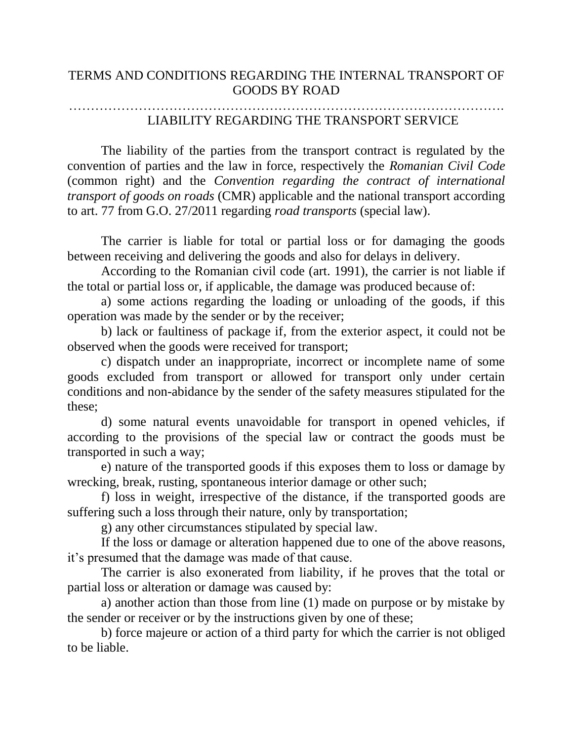## ………………………………………………………………………………………. LIABILITY REGARDING THE TRANSPORT SERVICE

The liability of the parties from the transport contract is regulated by the convention of parties and the law in force, respectively the *Romanian Civil Code*  (common right) and the *Convention regarding the contract of international transport of goods on roads* (CMR) applicable and the national transport according to art. 77 from G.O. 27/2011 regarding *road transports* (special law).

The carrier is liable for total or partial loss or for damaging the goods between receiving and delivering the goods and also for delays in delivery.

According to the Romanian civil code (art. 1991), the carrier is not liable if the total or partial loss or, if applicable, the damage was produced because of:

a) some actions regarding the loading or unloading of the goods, if this operation was made by the sender or by the receiver;

b) lack or faultiness of package if, from the exterior aspect, it could not be observed when the goods were received for transport;

c) dispatch under an inappropriate, incorrect or incomplete name of some goods excluded from transport or allowed for transport only under certain conditions and non-abidance by the sender of the safety measures stipulated for the these;

d) some natural events unavoidable for transport in opened vehicles, if according to the provisions of the special law or contract the goods must be transported in such a way;

e) nature of the transported goods if this exposes them to loss or damage by wrecking, break, rusting, spontaneous interior damage or other such;

f) loss in weight, irrespective of the distance, if the transported goods are suffering such a loss through their nature, only by transportation;

g) any other circumstances stipulated by special law.

If the loss or damage or alteration happened due to one of the above reasons, it's presumed that the damage was made of that cause.

The carrier is also exonerated from liability, if he proves that the total or partial loss or alteration or damage was caused by:

a) another action than those from line (1) made on purpose or by mistake by the sender or receiver or by the instructions given by one of these;

b) force majeure or action of a third party for which the carrier is not obliged to be liable.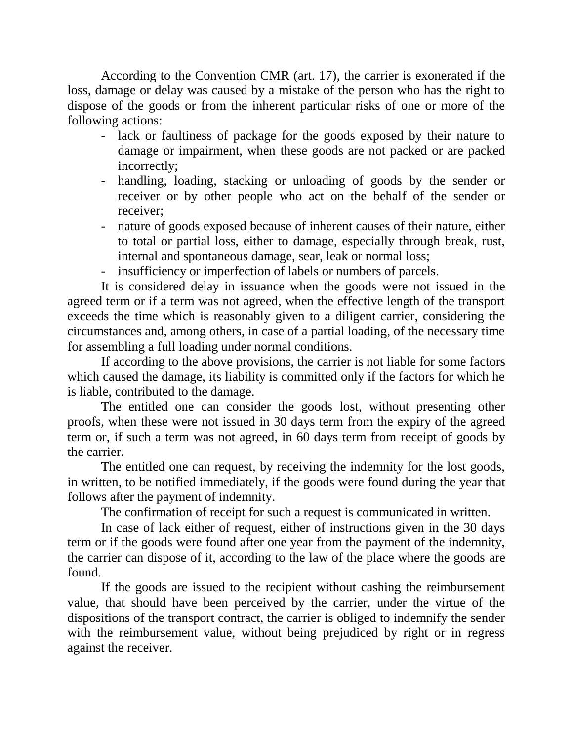According to the Convention CMR (art. 17), the carrier is exonerated if the loss, damage or delay was caused by a mistake of the person who has the right to dispose of the goods or from the inherent particular risks of one or more of the following actions:

- lack or faultiness of package for the goods exposed by their nature to damage or impairment, when these goods are not packed or are packed incorrectly;
- handling, loading, stacking or unloading of goods by the sender or receiver or by other people who act on the behalf of the sender or receiver;
- nature of goods exposed because of inherent causes of their nature, either to total or partial loss, either to damage, especially through break, rust, internal and spontaneous damage, sear, leak or normal loss;
- insufficiency or imperfection of labels or numbers of parcels.

It is considered delay in issuance when the goods were not issued in the agreed term or if a term was not agreed, when the effective length of the transport exceeds the time which is reasonably given to a diligent carrier, considering the circumstances and, among others, in case of a partial loading, of the necessary time for assembling a full loading under normal conditions.

If according to the above provisions, the carrier is not liable for some factors which caused the damage, its liability is committed only if the factors for which he is liable, contributed to the damage.

The entitled one can consider the goods lost, without presenting other proofs, when these were not issued in 30 days term from the expiry of the agreed term or, if such a term was not agreed, in 60 days term from receipt of goods by the carrier.

The entitled one can request, by receiving the indemnity for the lost goods, in written, to be notified immediately, if the goods were found during the year that follows after the payment of indemnity.

The confirmation of receipt for such a request is communicated in written.

In case of lack either of request, either of instructions given in the 30 days term or if the goods were found after one year from the payment of the indemnity, the carrier can dispose of it, according to the law of the place where the goods are found.

If the goods are issued to the recipient without cashing the reimbursement value, that should have been perceived by the carrier, under the virtue of the dispositions of the transport contract, the carrier is obliged to indemnify the sender with the reimbursement value, without being prejudiced by right or in regress against the receiver.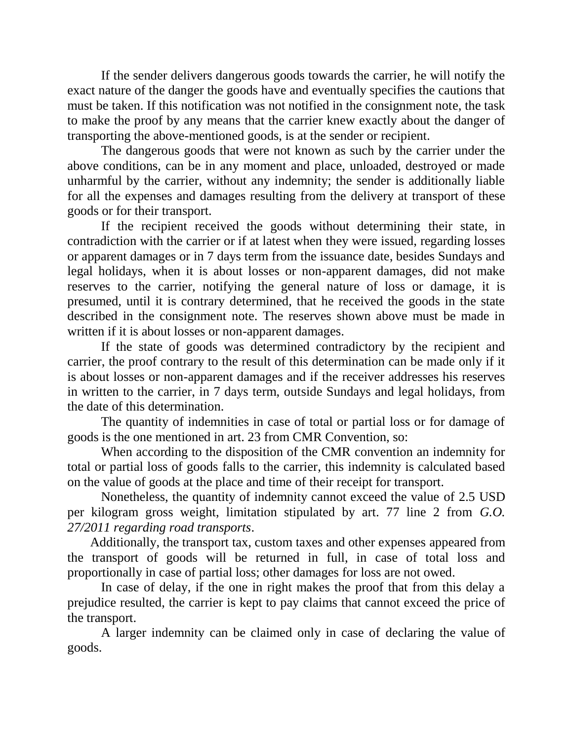If the sender delivers dangerous goods towards the carrier, he will notify the exact nature of the danger the goods have and eventually specifies the cautions that must be taken. If this notification was not notified in the consignment note, the task to make the proof by any means that the carrier knew exactly about the danger of transporting the above-mentioned goods, is at the sender or recipient.

The dangerous goods that were not known as such by the carrier under the above conditions, can be in any moment and place, unloaded, destroyed or made unharmful by the carrier, without any indemnity; the sender is additionally liable for all the expenses and damages resulting from the delivery at transport of these goods or for their transport.

If the recipient received the goods without determining their state, in contradiction with the carrier or if at latest when they were issued, regarding losses or apparent damages or in 7 days term from the issuance date, besides Sundays and legal holidays, when it is about losses or non-apparent damages, did not make reserves to the carrier, notifying the general nature of loss or damage, it is presumed, until it is contrary determined, that he received the goods in the state described in the consignment note. The reserves shown above must be made in written if it is about losses or non-apparent damages.

If the state of goods was determined contradictory by the recipient and carrier, the proof contrary to the result of this determination can be made only if it is about losses or non-apparent damages and if the receiver addresses his reserves in written to the carrier, in 7 days term, outside Sundays and legal holidays, from the date of this determination.

The quantity of indemnities in case of total or partial loss or for damage of goods is the one mentioned in art. 23 from CMR Convention, so:

When according to the disposition of the CMR convention an indemnity for total or partial loss of goods falls to the carrier, this indemnity is calculated based on the value of goods at the place and time of their receipt for transport.

Nonetheless, the quantity of indemnity cannot exceed the value of 2.5 USD per kilogram gross weight, limitation stipulated by art. 77 line 2 from *G.O. 27/2011 regarding road transports*.

 Additionally, the transport tax, custom taxes and other expenses appeared from the transport of goods will be returned in full, in case of total loss and proportionally in case of partial loss; other damages for loss are not owed.

In case of delay, if the one in right makes the proof that from this delay a prejudice resulted, the carrier is kept to pay claims that cannot exceed the price of the transport.

A larger indemnity can be claimed only in case of declaring the value of goods.